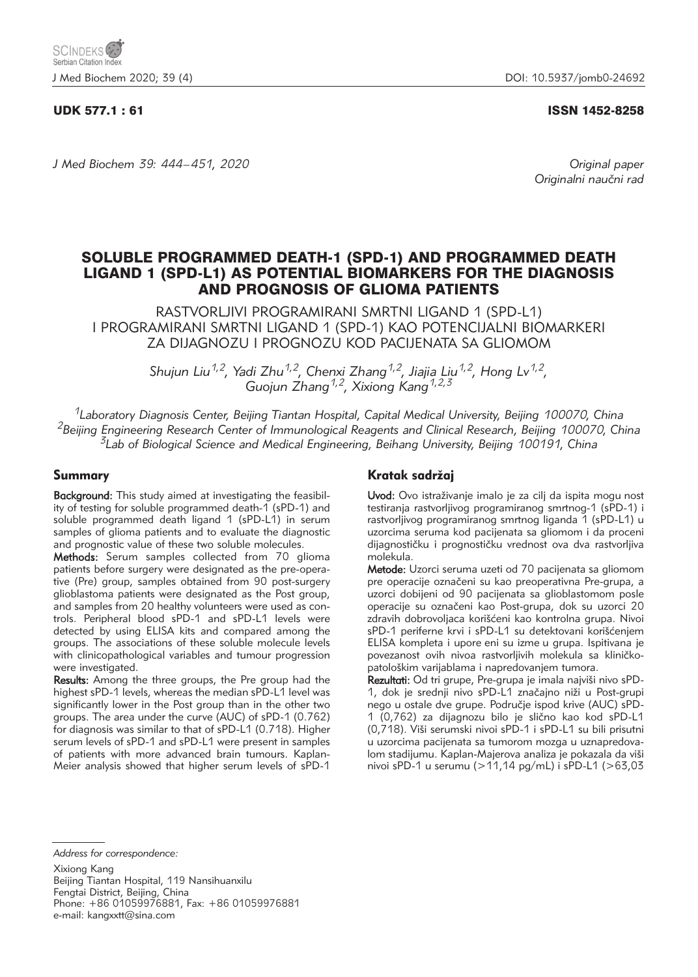# UDK 577.1 : 61 ISSN 1452-8258

*J Med Biochem 39: 444–451, 2020 Original paper*

Originalni naučni rad

# SOLUBLE PROGRAMMED DEATH-1 (SPD-1) AND PROGRAMMED DEATH LIGAND 1 (SPD-L1) AS POTENTIAL BIOMARKERS FOR THE DIAGNOSIS AND PROGNOSIS OF GLIOMA PATIENTS

RASTVORLJIVI PROGRAMIRANI SMRTNI LIGAND 1 (SPD-L1) I PROGRAMIRANI SMRTNI LIGAND 1 (SPD-1) KAO POTENCIJALNI BIOMARKERI ZA DIJAGNOZU I PROGNOZU KOD PACIJENATA SA GLIOMOM

> *Shujun Liu1,2, Yadi Zhu1,2, Chenxi Zhang1,2, Jiajia Liu1,2, Hong Lv1,2, Guojun Zhang1,2, Xixiong Kang1,2,3*

*1Laboratory Diagnosis Center, Beijing Tiantan Hospital, Capital Medical University, Beijing 100070, China 2Beijing Engineering Research Center of Immunological Reagents and Clinical Research, Beijing 100070, China 3Lab of Biological Science and Medical Engineering, Beihang University, Beijing 100191, China*

# Summary

Background: This study aimed at investigating the feasibility of testing for soluble programmed death-1 (sPD-1) and soluble programmed death ligand 1 (sPD-L1) in serum samples of glioma patients and to evaluate the diagnostic and prognostic value of these two soluble molecules.

Methods: Serum samples collected from 70 glioma patients before surgery were designated as the pre-operative (Pre) group, samples obtained from 90 post-surgery glioblastoma patients were designated as the Post group, and samples from 20 healthy volunteers were used as controls. Peripheral blood sPD-1 and sPD-L1 levels were detected by using ELISA kits and compared among the groups. The associations of these soluble molecule levels with clinicopathological variables and tumour progression were investigated.

Results: Among the three groups, the Pre group had the highest sPD-1 levels, whereas the median sPD-L1 level was significantly lower in the Post group than in the other two groups. The area under the curve (AUC) of sPD-1 (0.762) for diagnosis was similar to that of sPD-L1 (0.718). Higher serum levels of sPD-1 and sPD-L1 were present in samples of patients with more advanced brain tumours. Kaplan-Meier analysis showed that higher serum levels of sPD-1

# Kratak sadržaj

Uvod: Ovo istraživanje imalo je za cilj da ispita mogu nost testiranja rastvorljivog programiranog smrtnog-1 (sPD-1) i rastvorljivog programiranog smrtnog liganda 1 (sPD-L1) u uzorcima seruma kod pacijenata sa gliomom i da proceni dijagnostičku i prognostičku vrednost ova dva rastvorljiva molekula.

Metode: Uzorci seruma uzeti od 70 pacijenata sa gliomom pre operacije označeni su kao preoperativna Pre-grupa, a uzorci dobijeni od 90 pacijenata sa glioblastomom posle operacije su označeni kao Post-grupa, dok su uzorci 20 zdravih dobrovoljaca korišćeni kao kontrolna grupa. Nivoi sPD-1 periferne krvi i sPD-L1 su detektovani korišćenjem ELISA kompleta i upore eni su izme u grupa. Ispitivana je povezanost ovih nivoa rastvorljivih molekula sa kliničkopatolo{kim varijablama i napredovanjem tumora.

Rezultati: Od tri grupe, Pre-grupa je imala najviši nivo sPD-1, dok je srednji nivo sPD-L1 značajno niži u Post-grupi nego u ostale dve grupe. Područje ispod krive (AUC) sPD-1 (0,762) za dijagnozu bilo je sli~no kao kod sPD-L1 (0,718). Viši serumski nivoi sPD-1 i sPD-L1 su bili prisutni u uzorcima pacijenata sa tumorom mozga u uznapredovalom stadijumu. Kaplan-Majerova analiza je pokazala da viši nivoi sPD-1 u serumu (>11,14 pg/mL) i sPD-L1 (>63,03

*Address for correspondence:*

Xixiong Kang Beijing Tiantan Hospital, 119 Nansihuanxilu Fengtai District, Beijing, China Phone: +86 01059976881, Fax: +86 01059976881 e-mail: kangxxtt@sina.com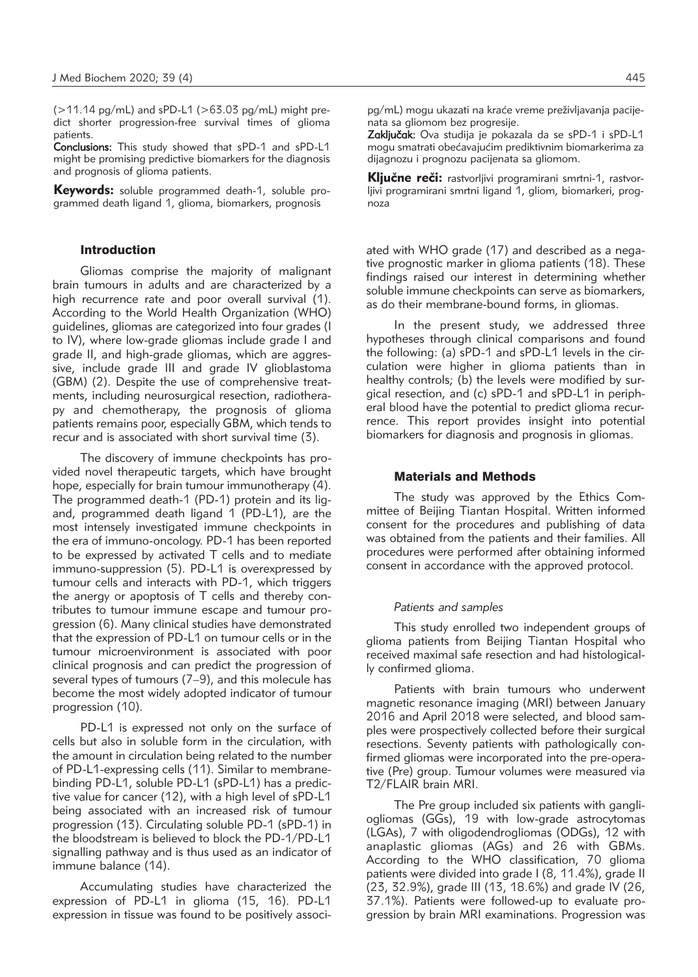$($  > 11.14 pg/mL) and sPD-L1 ( $>$  63.03 pg/mL) might predict shorter progression-free survival times of glioma patients.

Conclusions: This study showed that sPD-1 and sPD-L1 might be promising predictive biomarkers for the diagnosis and prognosis of glioma patients.

**Keywords:** soluble programmed death-1, soluble programmed death ligand 1, glioma, biomarkers, prognosis

### Introduction

Gliomas comprise the majority of malignant brain tumours in adults and are characterized by a high recurrence rate and poor overall survival (1). According to the World Health Organization (WHO) guidelines, gliomas are categorized into four grades (I to IV), where low-grade gliomas include grade I and grade II, and high-grade gliomas, which are aggressive, include grade III and grade IV glioblastoma (GBM) (2). Despite the use of comprehensive treatments, including neurosurgical resection, radiotherapy and chemotherapy, the prognosis of glioma patients remains poor, especially GBM, which tends to recur and is associated with short survival time (3).

The discovery of immune checkpoints has provided novel therapeutic targets, which have brought hope, especially for brain tumour immunotherapy (4). The programmed death-1 (PD-1) protein and its ligand, programmed death ligand 1 (PD-L1), are the most intensely investigated immune checkpoints in the era of immuno-oncology. PD-1 has been reported to be expressed by activated T cells and to mediate immuno-suppression (5). PD-L1 is overexpressed by tumour cells and interacts with PD-1, which triggers the anergy or apoptosis of T cells and thereby contributes to tumour immune escape and tumour progression (6). Many clinical studies have demonstrated that the expression of PD-L1 on tumour cells or in the tumour microenvironment is associated with poor clinical prognosis and can predict the progression of several types of tumours (7–9), and this molecule has become the most widely adopted indicator of tumour progression (10).

PD-L1 is expressed not only on the surface of cells but also in soluble form in the circulation, with the amount in circulation being related to the number of PD-L1-expressing cells (11). Similar to membranebinding PD-L1, soluble PD-L1 (sPD-L1) has a predictive value for cancer (12), with a high level of sPD-L1 being associated with an increased risk of tumour progression (13). Circulating soluble PD-1 (sPD-1) in the bloodstream is believed to block the PD-1/PD-L1 signalling pathway and is thus used as an indicator of immune balance (14).

Accumulating studies have characterized the expression of PD-L1 in glioma (15, 16). PD-L1 expression in tissue was found to be positively associpg/mL) mogu ukazati na kraće vreme preživljavanja pacijenata sa gliomom bez progresije.

Zaključak: Ova studija je pokazala da se sPD-1 i sPD-L1 mogu smatrati obećavajućim prediktivnim biomarkerima za dijagnozu i prognozu pacijenata sa gliomom.

Ključne reči: rastvorljivi programirani smrtni-1, rastvorljivi programirani smrtni ligand 1, gliom, biomarkeri, prognoza

ated with WHO grade (17) and described as a negative prognostic marker in glioma patients (18). These findings raised our interest in determining whether soluble immune checkpoints can serve as biomarkers, as do their membrane-bound forms, in gliomas.

In the present study, we addressed three hypotheses through clinical comparisons and found the following: (a) sPD-1 and sPD-L1 levels in the circulation were higher in glioma patients than in healthy controls; (b) the levels were modified by surgical resection, and (c) sPD-1 and sPD-L1 in peripheral blood have the potential to predict glioma recurrence. This report provides insight into potential biomarkers for diagnosis and prognosis in gliomas.

# Materials and Methods

The study was approved by the Ethics Committee of Beijing Tiantan Hospital. Written informed consent for the procedures and publishing of data was obtained from the patients and their families. All procedures were performed after obtaining informed consent in accordance with the approved protocol.

#### *Patients and samples*

This study enrolled two independent groups of glioma patients from Beijing Tiantan Hospital who received maximal safe resection and had histologically confirmed glioma.

Patients with brain tumours who underwent magnetic resonance imaging (MRI) between January 2016 and April 2018 were selected, and blood samples were prospectively collected before their surgical resections. Seventy patients with pathologically confirmed gliomas were incorporated into the pre-operative (Pre) group. Tumour volumes were measured via T2/FLAIR brain MRI.

The Pre group included six patients with gangliogliomas (GGs), 19 with low-grade astrocytomas (LGAs), 7 with oligodendrogliomas (ODGs), 12 with anaplastic gliomas (AGs) and 26 with GBMs. According to the WHO classification, 70 glioma patients were divided into grade I (8, 11.4%), grade II (23, 32.9%), grade III (13, 18.6%) and grade IV (26, 37.1%). Patients were followed-up to evaluate progression by brain MRI examinations. Progression was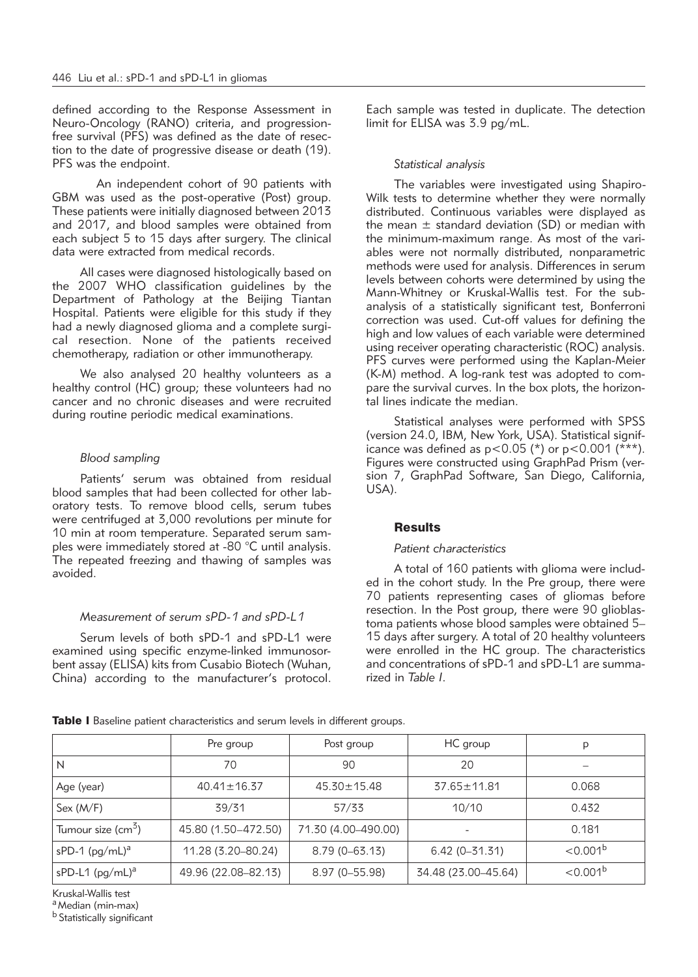defined according to the Response Assessment in Neuro-Oncology (RANO) criteria, and progressionfree survival (PFS) was defined as the date of resection to the date of progressive disease or death (19). PFS was the endpoint.

An independent cohort of 90 patients with GBM was used as the post-operative (Post) group. These patients were initially diagnosed between 2013 and 2017, and blood samples were obtained from each subject 5 to 15 days after surgery. The clinical data were extracted from medical records.

All cases were diagnosed histologically based on the 2007 WHO classification guidelines by the Department of Pathology at the Beijing Tiantan Hospital. Patients were eligible for this study if they had a newly diagnosed glioma and a complete surgical resection. None of the patients received chemotherapy, radiation or other immunotherapy.

We also analysed 20 healthy volunteers as a healthy control (HC) group; these volunteers had no cancer and no chronic diseases and were recruited during routine periodic medical examinations.

# *Blood sampling*

Patients' serum was obtained from residual blood samples that had been collected for other laboratory tests. To remove blood cells, serum tubes were centrifuged at 3,000 revolutions per minute for 10 min at room temperature. Separated serum samples were immediately stored at -80 °C until analysis. The repeated freezing and thawing of samples was avoided.

#### *Measurement of serum sPD-1 and sPD-L1*

Serum levels of both sPD-1 and sPD-L1 were examined using specific enzyme-linked immunosorbent assay (ELISA) kits from Cusabio Biotech (Wuhan, China) according to the manufacturer's protocol. Each sample was tested in duplicate. The detection limit for ELISA was 3.9 pg/mL.

### *Statistical analysis*

The variables were investigated using Shapiro-Wilk tests to determine whether they were normally distributed. Continuous variables were displayed as the mean  $\pm$  standard deviation (SD) or median with the minimum-maximum range. As most of the variables were not normally distributed, nonparametric methods were used for analysis. Differences in serum levels between cohorts were determined by using the Mann-Whitney or Kruskal-Wallis test. For the subanalysis of a statistically significant test, Bonferroni correction was used. Cut-off values for defining the high and low values of each variable were determined using receiver operating characteristic (ROC) analysis. PFS curves were performed using the Kaplan-Meier (K-M) method. A log-rank test was adopted to compare the survival curves. In the box plots, the horizontal lines indicate the median.

Statistical analyses were performed with SPSS (version 24.0, IBM, New York, USA). Statistical significance was defined as  $p < 0.05$  (\*) or  $p < 0.001$  (\*\*\*). Figures were constructed using GraphPad Prism (version 7, GraphPad Software, San Diego, California, USA).

## **Results**

#### *Patient characteristics*

A total of 160 patients with glioma were included in the cohort study. In the Pre group, there were 70 patients representing cases of gliomas before resection. In the Post group, there were 90 glioblastoma patients whose blood samples were obtained 5– 15 days after surgery. A total of 20 healthy volunteers were enrolled in the HC group. The characteristics and concentrations of sPD-1 and sPD-L1 are summarized in *Table I*.

|                                     | Pre group           | Post group          | HC group            | p                    |
|-------------------------------------|---------------------|---------------------|---------------------|----------------------|
| l N                                 | 70                  | 90                  | 20                  |                      |
| Age (year)                          | $40.41 \pm 16.37$   | $45.30 \pm 15.48$   | $37.65 \pm 11.81$   | 0.068                |
| Sex (M/F)                           | 39/31               | 57/33               | 10/10               | 0.432                |
| Tumour size (cm <sup>5</sup> )      | 45.80 (1.50-472.50) | 71.30 (4.00-490.00) |                     | 0.181                |
| $ $ sPD-1 (pg/mL) <sup>a</sup>      | 11.28 (3.20–80.24)  | $8.79(0 - 63.13)$   | $6.42(0 - 31.31)$   | < 0.001 <sup>b</sup> |
| $\vert$ sPD-L1 (pg/mL) <sup>a</sup> | 49.96 (22.08–82.13) | 8.97 (0-55.98)      | 34.48 (23.00-45.64) | $< 0.001^b$          |

Table I Baseline patient characteristics and serum levels in different groups.

Kruskal-Wallis test

a Median (min-max)

b Statistically significant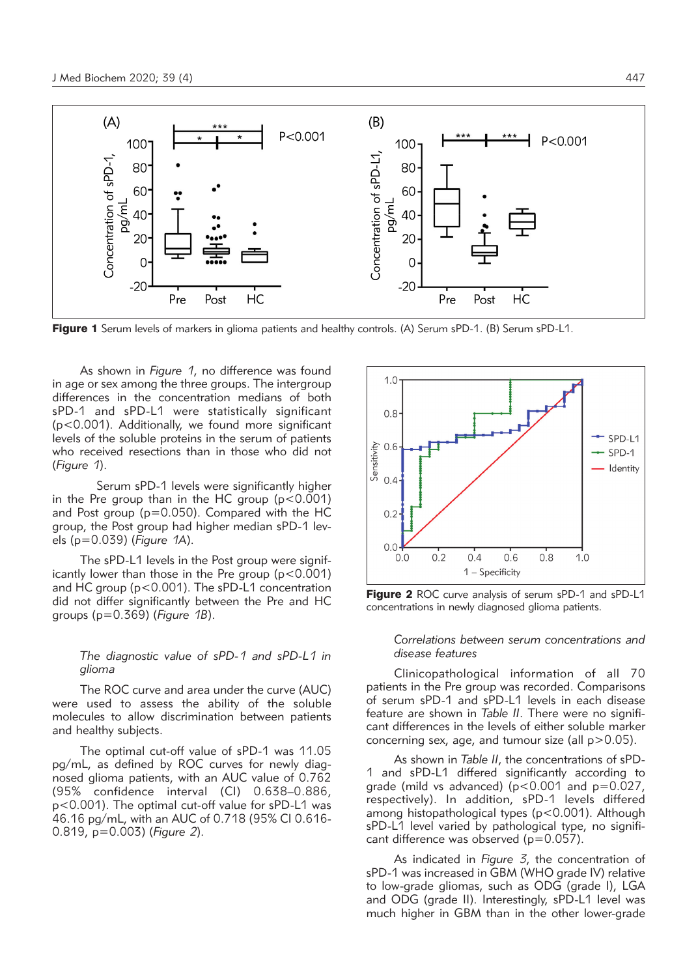

Figure 1 Serum levels of markers in glioma patients and healthy controls. (A) Serum sPD-1. (B) Serum sPD-L1.

As shown in *Figure 1*, no difference was found in age or sex among the three groups. The intergroup differences in the concentration medians of both sPD-1 and sPD-L1 were statistically significant (p<0.001). Additionally, we found more significant levels of the soluble proteins in the serum of patients who received resections than in those who did not (*Figure 1*).

Serum sPD-1 levels were significantly higher in the Pre group than in the HC group  $(p < 0.001)$ and Post group (p=0.050). Compared with the HC group, the Post group had higher median sPD-1 levels (p=0.039) (*Figure 1A*).

The sPD-L1 levels in the Post group were significantly lower than those in the Pre group  $(p<0.001)$ and HC group (p<0.001). The sPD-L1 concentration did not differ significantly between the Pre and HC groups (p=0.369) (*Figure 1B*).

# *The diagnostic value of sPD-1 and sPD-L1 in glioma*

The ROC curve and area under the curve (AUC) were used to assess the ability of the soluble molecules to allow discrimination between patients and healthy subjects.

The optimal cut-off value of sPD-1 was 11.05 pg/mL, as defined by ROC curves for newly diagnosed glioma patients, with an AUC value of 0.762 (95% confidence interval (CI) 0.638–0.886, p<0.001). The optimal cut-off value for sPD-L1 was 46.16 pg/mL, with an AUC of 0.718 (95% CI 0.616- 0.819, p=0.003) (*Figure 2*).



Figure 2 ROC curve analysis of serum sPD-1 and sPD-L1 concentrations in newly diagnosed glioma patients.

#### *Correlations between serum concentrations and disease features*

Clinicopathological information of all 70 patients in the Pre group was recorded. Comparisons of serum sPD-1 and sPD-L1 levels in each disease feature are shown in *Table II*. There were no significant differences in the levels of either soluble marker concerning sex, age, and tumour size (all p>0.05).

As shown in *Table II*, the concentrations of sPD-1 and sPD-L1 differed significantly according to grade (mild vs advanced) ( $p < 0.001$  and  $p = 0.027$ , respectively). In addition, sPD-1 levels differed among histopathological types (p<0.001). Although sPD-L1 level varied by pathological type, no significant difference was observed  $(p=0.057)$ .

As indicated in *Figure 3*, the concentration of sPD-1 was increased in GBM (WHO grade IV) relative to low-grade gliomas, such as ODG (grade I), LGA and ODG (grade II). Interestingly, sPD-L1 level was much higher in GBM than in the other lower-grade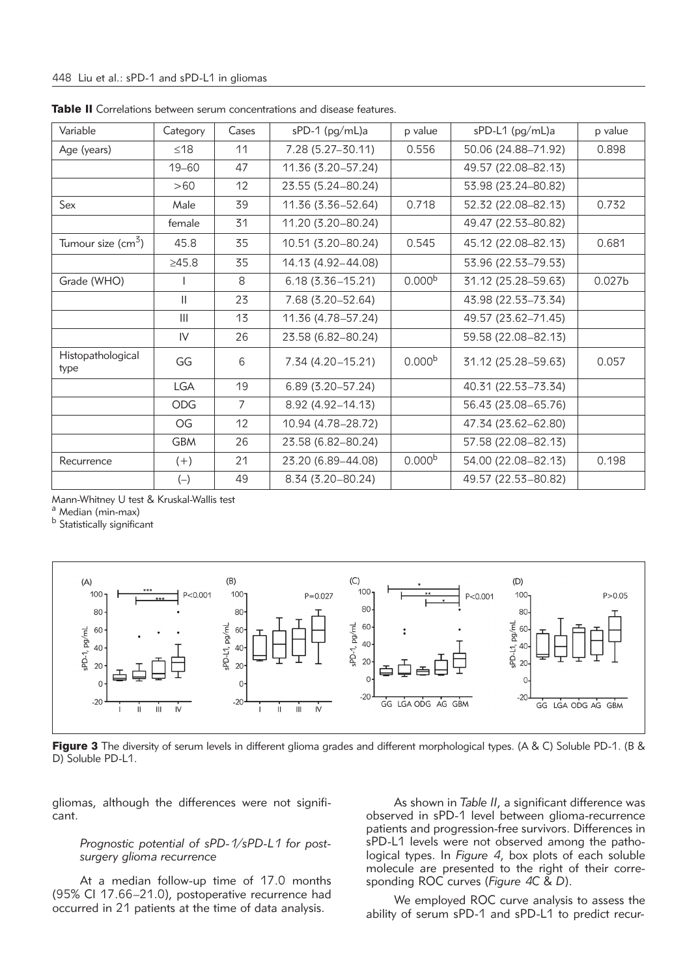| Variable                    | Category     | Cases          | sPD-1 (pg/mL)a       | p value            | sPD-L1 (pg/mL)a     | p value            |
|-----------------------------|--------------|----------------|----------------------|--------------------|---------------------|--------------------|
| Age (years)                 | $\leq$ 18    | 11             | 7.28 (5.27-30.11)    | 0.556              | 50.06 (24.88-71.92) | 0.898              |
|                             | $19 - 60$    | 47             | 11.36 (3.20-57.24)   |                    | 49.57 (22.08-82.13) |                    |
|                             | >60          | 12             | 23.55 (5.24-80.24)   |                    | 53.98 (23.24-80.82) |                    |
| Sex                         | Male         | 39             | 11.36 (3.36-52.64)   | 0.718              | 52.32 (22.08-82.13) | 0.732              |
|                             | female       | 31             | 11.20 (3.20-80.24)   |                    | 49.47 (22.53-80.82) |                    |
| Tumour size $\text{cm}^3$ ) | 45.8         | 35             | 10.51 (3.20-80.24)   | 0.545              | 45.12 (22.08-82.13) | 0.681              |
|                             | $\geq 45.8$  | 35             | 14.13 (4.92-44.08)   |                    | 53.96 (22.53-79.53) |                    |
| Grade (WHO)                 |              | 8              | $6.18(3.36 - 15.21)$ | 0.000 <sup>b</sup> | 31.12 (25.28-59.63) | 0.027 <sub>b</sub> |
|                             | $\mathbf{I}$ | 23             | 7.68 (3.20-52.64)    |                    | 43.98 (22.53-73.34) |                    |
|                             | III          | 13             | 11.36 (4.78-57.24)   |                    | 49.57 (23.62-71.45) |                    |
|                             | IV           | 26             | 23.58 (6.82-80.24)   |                    | 59.58 (22.08-82.13) |                    |
| Histopathological<br>type   | GG           | 6              | 7.34 (4.20-15.21)    | 0.000 <sup>b</sup> | 31.12 (25.28-59.63) | 0.057              |
|                             | <b>LGA</b>   | 19             | $6.89(3.20 - 57.24)$ |                    | 40.31 (22.53-73.34) |                    |
|                             | <b>ODG</b>   | $\overline{7}$ | 8.92 (4.92-14.13)    |                    | 56.43 (23.08-65.76) |                    |
|                             | OG           | 12             | 10.94 (4.78-28.72)   |                    | 47.34 (23.62-62.80) |                    |
|                             | <b>GBM</b>   | 26             | 23.58 (6.82-80.24)   |                    | 57.58 (22.08-82.13) |                    |
| Recurrence                  | $(+)$        | 21             | 23.20 (6.89-44.08)   | 0.000 <sup>b</sup> | 54.00 (22.08-82.13) | 0.198              |
|                             | $(-)$        | 49             | 8.34 (3.20-80.24)    |                    | 49.57 (22.53-80.82) |                    |

Table II Correlations between serum concentrations and disease features.

Mann-Whitney U test & Kruskal-Wallis test

a Median (min-max)

<sup>b</sup> Statistically significant



Figure 3 The diversity of serum levels in different glioma grades and different morphological types. (A & C) Soluble PD-1. (B & D) Soluble PD-L1.

gliomas, although the differences were not significant.

# *Prognostic potential of sPD-1/sPD-L1 for postsurgery glioma recurrence*

At a median follow-up time of 17.0 months (95% CI 17.66–21.0), postoperative recurrence had occurred in 21 patients at the time of data analysis.

As shown in *Table II*, a significant difference was observed in sPD-1 level between glioma-recurrence patients and progression-free survivors. Differences in sPD-L1 levels were not observed among the pathological types. In *Figure 4*, box plots of each soluble molecule are presented to the right of their corresponding ROC curves (*Figure 4C* & *D*).

We employed ROC curve analysis to assess the ability of serum sPD-1 and sPD-L1 to predict recur-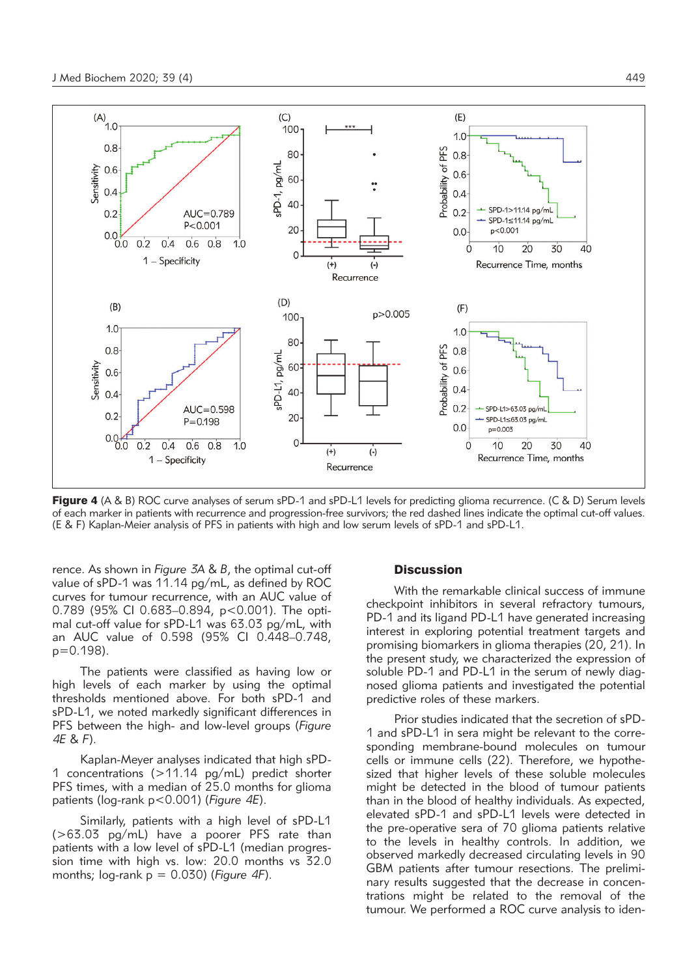

Figure 4 (A & B) ROC curve analyses of serum sPD-1 and sPD-L1 levels for predicting glioma recurrence. (C & D) Serum levels of each marker in patients with recurrence and progression-free survivors; the red dashed lines indicate the optimal cut-off values. (E & F) Kaplan-Meier analysis of PFS in patients with high and low serum levels of sPD-1 and sPD-L1.

rence. As shown in *Figure 3A* & *B*, the optimal cut-off value of sPD-1 was 11.14 pg/mL, as defined by ROC curves for tumour recurrence, with an AUC value of 0.789 (95% CI 0.683–0.894, p<0.001). The optimal cut-off value for sPD-L1 was 63.03 pg/mL, with an AUC value of 0.598 (95% CI 0.448–0.748, p=0.198).

The patients were classified as having low or high levels of each marker by using the optimal thresholds mentioned above. For both sPD-1 and sPD-L1, we noted markedly significant differences in PFS between the high- and low-level groups (*Figure 4E* & *F*).

Kaplan-Meyer analyses indicated that high sPD-1 concentrations (>11.14 pg/mL) predict shorter PFS times, with a median of 25.0 months for glioma patients (log-rank p<0.001) (*Figure 4E*).

Similarly, patients with a high level of sPD-L1 (>63.03 pg/mL) have a poorer PFS rate than patients with a low level of sPD-L1 (median progression time with high vs. low: 20.0 months vs 32.0 months; log-rank p = 0.030) (*Figure 4F*).

#### **Discussion**

With the remarkable clinical success of immune checkpoint inhibitors in several refractory tumours, PD-1 and its ligand PD-L1 have generated increasing interest in exploring potential treatment targets and promising biomarkers in glioma therapies (20, 21). In the present study, we characterized the expression of soluble PD-1 and PD-L1 in the serum of newly diagnosed glioma patients and investigated the potential predictive roles of these markers.

Prior studies indicated that the secretion of sPD-1 and sPD-L1 in sera might be relevant to the corresponding membrane-bound molecules on tumour cells or immune cells (22). Therefore, we hypothesized that higher levels of these soluble molecules might be detected in the blood of tumour patients than in the blood of healthy individuals. As expected, elevated sPD-1 and sPD-L1 levels were detected in the pre-operative sera of 70 glioma patients relative to the levels in healthy controls. In addition, we observed markedly decreased circulating levels in 90 GBM patients after tumour resections. The preliminary results suggested that the decrease in concentrations might be related to the removal of the tumour. We performed a ROC curve analysis to iden-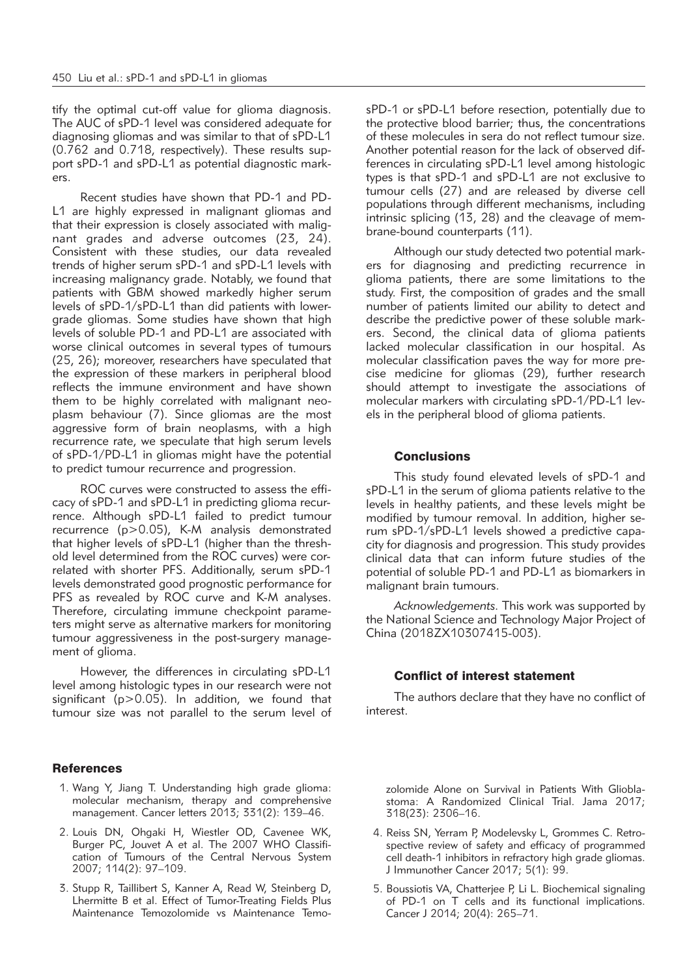tify the optimal cut-off value for glioma diagnosis. The AUC of sPD-1 level was considered adequate for diagnosing gliomas and was similar to that of sPD-L1 (0.762 and 0.718, respectively). These results support sPD-1 and sPD-L1 as potential diagnostic markers.

Recent studies have shown that PD-1 and PD-L1 are highly expressed in malignant gliomas and that their expression is closely associated with malignant grades and adverse outcomes (23, 24). Consistent with these studies, our data revealed trends of higher serum sPD-1 and sPD-L1 levels with increasing malignancy grade. Notably, we found that patients with GBM showed markedly higher serum levels of sPD-1/sPD-L1 than did patients with lowergrade gliomas. Some studies have shown that high levels of soluble PD-1 and PD-L1 are associated with worse clinical outcomes in several types of tumours (25, 26); moreover, researchers have speculated that the expression of these markers in peripheral blood reflects the immune environment and have shown them to be highly correlated with malignant neoplasm behaviour (7). Since gliomas are the most aggressive form of brain neoplasms, with a high recurrence rate, we speculate that high serum levels of sPD-1/PD-L1 in gliomas might have the potential to predict tumour recurrence and progression.

ROC curves were constructed to assess the efficacy of sPD-1 and sPD-L1 in predicting glioma recurrence. Although sPD-L1 failed to predict tumour recurrence (p>0.05), K-M analysis demonstrated that higher levels of sPD-L1 (higher than the threshold level determined from the ROC curves) were correlated with shorter PFS. Additionally, serum sPD-1 levels demonstrated good prognostic performance for PFS as revealed by ROC curve and K-M analyses. Therefore, circulating immune checkpoint parameters might serve as alternative markers for monitoring tumour aggressiveness in the post-surgery management of glioma.

However, the differences in circulating sPD-L1 level among histologic types in our research were not significant (p>0.05). In addition, we found that tumour size was not parallel to the serum level of

# **References**

- 1. Wang Y, Jiang T. Understanding high grade glioma: molecular mechanism, therapy and comprehensive management. Cancer letters 2013; 331(2): 139-46.
- 2. Louis DN, Ohgaki H, Wiestler OD, Cavenee WK, Burger PC, Jouvet A et al. The 2007 WHO Classification of Tumours of the Central Nervous System 2007; 114(2): 97–109.
- 3. Stupp R, Taillibert S, Kanner A, Read W, Steinberg D, Lhermitte B et al. Effect of Tumor-Treating Fields Plus Maintenance Temozolomide vs Maintenance Temo-

sPD-1 or sPD-L1 before resection, potentially due to the protective blood barrier; thus, the concentrations of these molecules in sera do not reflect tumour size. Another potential reason for the lack of observed differences in circulating sPD-L1 level among histologic types is that sPD-1 and sPD-L1 are not exclusive to tumour cells (27) and are released by diverse cell populations through different mechanisms, including intrinsic splicing (13, 28) and the cleavage of membrane-bound counterparts (11).

Although our study detected two potential markers for diagnosing and predicting recurrence in glioma patients, there are some limitations to the study. First, the composition of grades and the small number of patients limited our ability to detect and describe the predictive power of these soluble markers. Second, the clinical data of glioma patients lacked molecular classification in our hospital. As molecular classification paves the way for more precise medicine for gliomas (29), further research should attempt to investigate the associations of molecular markers with circulating sPD-1/PD-L1 levels in the peripheral blood of glioma patients.

# **Conclusions**

This study found elevated levels of sPD-1 and sPD-L1 in the serum of glioma patients relative to the levels in healthy patients, and these levels might be modified by tumour removal. In addition, higher serum sPD-1/sPD-L1 levels showed a predictive capacity for diagnosis and progression. This study provides clinical data that can inform future studies of the potential of soluble PD-1 and PD-L1 as biomarkers in malignant brain tumours.

*Acknowledgements.* This work was supported by the National Science and Technology Major Project of China (2018ZX10307415-003).

#### Conflict of interest statement

The authors declare that they have no conflict of interest.

zolomide Alone on Survival in Patients With Glioblastoma: A Randomized Clinical Trial. Jama 2017; 318(23): 2306–16.

- 4. Reiss SN, Yerram P, Modelevsky L, Grommes C. Retrospective review of safety and efficacy of programmed cell death-1 inhibitors in refractory high grade gliomas. J Immunother Cancer 2017; 5(1): 99.
- 5. Boussiotis VA, Chatterjee P, Li L. Biochemical signaling of PD-1 on T cells and its functional implications. Cancer J 2014; 20(4): 265–71.